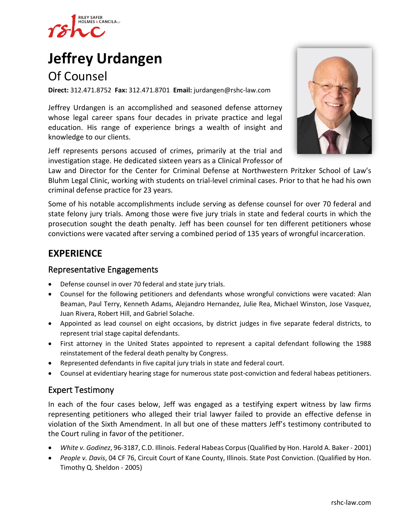

# **[Jeffrey Urdangen](https://www.rshc-law.com/attorneys/attorney/jeffrey-urdangen)**

# Of Counsel

**Direct:** 312.471.8752 **Fax:** 312.471.8701 **Email:** jurdangen@rshc-law.com

Jeffrey Urdangen is an accomplished and seasoned defense attorney whose legal career spans four decades in private practice and legal education. His range of experience brings a wealth of insight and knowledge to our clients.

Jeff represents persons accused of crimes, primarily at the trial and investigation stage. He dedicated sixteen years as a Clinical Professor of



Law and Director for the Center for Criminal Defense at Northwestern Pritzker School of Law's Bluhm Legal Clinic, working with students on trial-level criminal cases. Prior to that he had his own criminal defense practice for 23 years.

Some of his notable accomplishments include serving as defense counsel for over 70 federal and state felony jury trials. Among those were five jury trials in state and federal courts in which the prosecution sought the death penalty. Jeff has been counsel for ten different petitioners whose convictions were vacated after serving a combined period of 135 years of wrongful incarceration.

# **EXPERIENCE**

#### Representative Engagements

- Defense counsel in over 70 federal and state jury trials.
- Counsel for the following petitioners and defendants whose wrongful convictions were vacated: Alan Beaman, Paul Terry, Kenneth Adams, Alejandro Hernandez, Julie Rea, Michael Winston, Jose Vasquez, Juan Rivera, Robert Hill, and Gabriel Solache.
- Appointed as lead counsel on eight occasions, by district judges in five separate federal districts, to represent trial stage capital defendants.
- First attorney in the United States appointed to represent a capital defendant following the 1988 reinstatement of the federal death penalty by Congress.
- Represented defendants in five capital jury trials in state and federal court.
- Counsel at evidentiary hearing stage for numerous state post-conviction and federal habeas petitioners.

### Expert Testimony

In each of the four cases below, Jeff was engaged as a testifying expert witness by law firms representing petitioners who alleged their trial lawyer failed to provide an effective defense in violation of the Sixth Amendment. In all but one of these matters Jeff's testimony contributed to the Court ruling in favor of the petitioner.

- *White v. Godinez*, 96-3187, C.D. Illinois. Federal Habeas Corpus (Qualified by Hon. Harold A. Baker 2001)
- *People v. Davis*, 04 CF 76, Circuit Court of Kane County, Illinois. State Post Conviction. (Qualified by Hon. Timothy Q. Sheldon - 2005)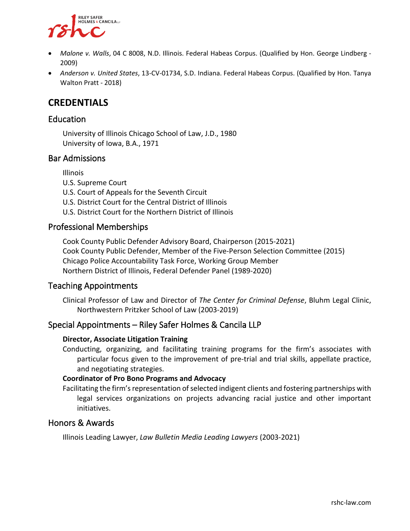

- *Malone v. Walls*, 04 C 8008, N.D. Illinois. Federal Habeas Corpus. (Qualified by Hon. George Lindberg 2009)
- *Anderson v. United States*, 13-CV-01734, S.D. Indiana. Federal Habeas Corpus. (Qualified by Hon. Tanya Walton Pratt - 2018)

## **CREDENTIALS**

#### Education

University of Illinois Chicago School of Law, J.D., 1980 University of Iowa, B.A., 1971

#### Bar Admissions

Illinois

U.S. Supreme Court

- U.S. Court of Appeals for the Seventh Circuit
- U.S. District Court for the Central District of Illinois
- U.S. District Court for the Northern District of Illinois

#### Professional Memberships

Cook County Public Defender Advisory Board, Chairperson (2015-2021) Cook County Public Defender, Member of the Five-Person Selection Committee (2015) Chicago Police Accountability Task Force, Working Group Member Northern District of Illinois, Federal Defender Panel (1989-2020)

#### Teaching Appointments

Clinical Professor of Law and Director of *The Center for Criminal Defense*, Bluhm Legal Clinic, Northwestern Pritzker School of Law (2003-2019)

#### Special Appointments – Riley Safer Holmes & Cancila LLP

#### **Director, Associate Litigation Training**

Conducting, organizing, and facilitating training programs for the firm's associates with particular focus given to the improvement of pre-trial and trial skills, appellate practice, and negotiating strategies.

#### **Coordinator of Pro Bono Programs and Advocacy**

Facilitating the firm's representation of selected indigent clients and fostering partnerships with legal services organizations on projects advancing racial justice and other important initiatives.

#### Honors & Awards

Illinois Leading Lawyer, *Law Bulletin Media Leading Lawyers* (2003-2021)